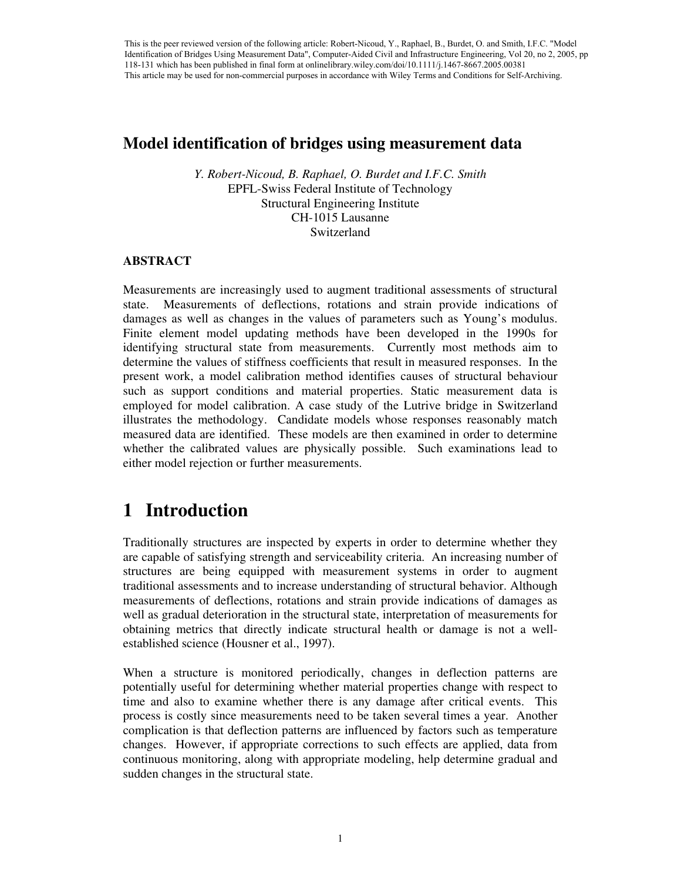This is the peer reviewed version of the following article: Robert-Nicoud, Y., Raphael, B., Burdet, O. and Smith, I.F.C. "Model Identification of Bridges Using Measurement Data", Computer-Aided Civil and Infrastructure Engineering, Vol 20, no 2, 2005, pp 118-131 which has been published in final form at onlinelibrary.wiley.com/doi/10.1111/j.1467-8667.2005.00381 This article may be used for non-commercial purposes in accordance with Wiley Terms and Conditions for Self-Archiving.

## **Model identification of bridges using measurement data**

*Y. Robert-Nicoud, B. Raphael, O. Burdet and I.F.C. Smith* EPFL-Swiss Federal Institute of Technology Structural Engineering Institute CH-1015 Lausanne Switzerland

#### **ABSTRACT**

Measurements are increasingly used to augment traditional assessments of structural state. Measurements of deflections, rotations and strain provide indications of damages as well as changes in the values of parameters such as Young's modulus. Finite element model updating methods have been developed in the 1990s for identifying structural state from measurements. Currently most methods aim to determine the values of stiffness coefficients that result in measured responses. In the present work, a model calibration method identifies causes of structural behaviour such as support conditions and material properties. Static measurement data is employed for model calibration. A case study of the Lutrive bridge in Switzerland illustrates the methodology. Candidate models whose responses reasonably match measured data are identified. These models are then examined in order to determine whether the calibrated values are physically possible. Such examinations lead to either model rejection or further measurements.

# **1 Introduction**

Traditionally structures are inspected by experts in order to determine whether they are capable of satisfying strength and serviceability criteria. An increasing number of structures are being equipped with measurement systems in order to augment traditional assessments and to increase understanding of structural behavior. Although measurements of deflections, rotations and strain provide indications of damages as well as gradual deterioration in the structural state, interpretation of measurements for obtaining metrics that directly indicate structural health or damage is not a wellestablished science (Housner et al., 1997).

When a structure is monitored periodically, changes in deflection patterns are potentially useful for determining whether material properties change with respect to time and also to examine whether there is any damage after critical events. This process is costly since measurements need to be taken several times a year. Another complication is that deflection patterns are influenced by factors such as temperature changes. However, if appropriate corrections to such effects are applied, data from continuous monitoring, along with appropriate modeling, help determine gradual and sudden changes in the structural state.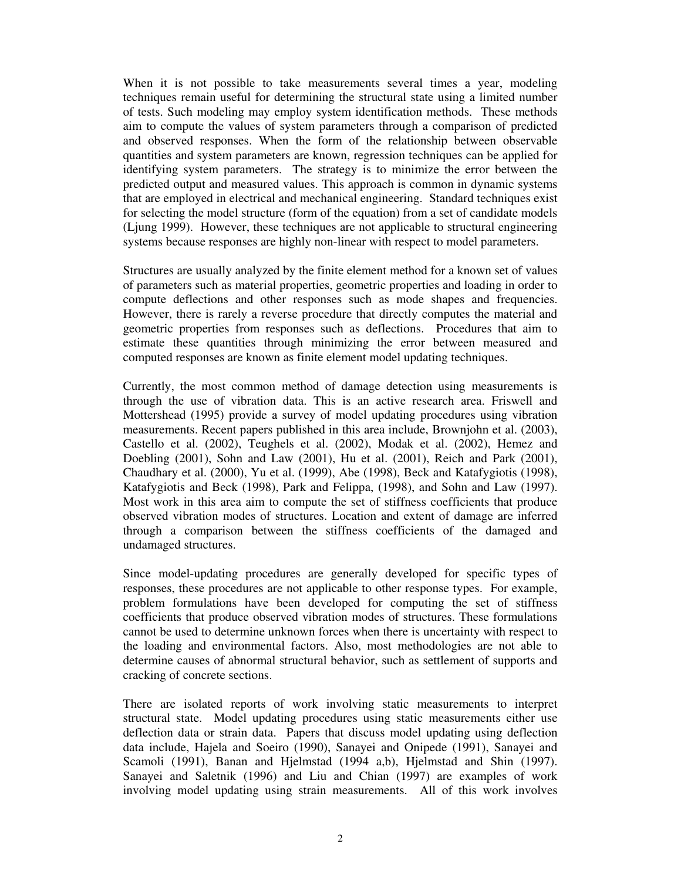When it is not possible to take measurements several times a year, modeling techniques remain useful for determining the structural state using a limited number of tests. Such modeling may employ system identification methods. These methods aim to compute the values of system parameters through a comparison of predicted and observed responses. When the form of the relationship between observable quantities and system parameters are known, regression techniques can be applied for identifying system parameters. The strategy is to minimize the error between the predicted output and measured values. This approach is common in dynamic systems that are employed in electrical and mechanical engineering. Standard techniques exist for selecting the model structure (form of the equation) from a set of candidate models (Ljung 1999). However, these techniques are not applicable to structural engineering systems because responses are highly non-linear with respect to model parameters.

Structures are usually analyzed by the finite element method for a known set of values of parameters such as material properties, geometric properties and loading in order to compute deflections and other responses such as mode shapes and frequencies. However, there is rarely a reverse procedure that directly computes the material and geometric properties from responses such as deflections. Procedures that aim to estimate these quantities through minimizing the error between measured and computed responses are known as finite element model updating techniques.

Currently, the most common method of damage detection using measurements is through the use of vibration data. This is an active research area. Friswell and Mottershead (1995) provide a survey of model updating procedures using vibration measurements. Recent papers published in this area include, Brownjohn et al. (2003), Castello et al. (2002), Teughels et al. (2002), Modak et al. (2002), Hemez and Doebling (2001), Sohn and Law (2001), Hu et al. (2001), Reich and Park (2001), Chaudhary et al. (2000), Yu et al. (1999), Abe (1998), Beck and Katafygiotis (1998), Katafygiotis and Beck (1998), Park and Felippa, (1998), and Sohn and Law (1997). Most work in this area aim to compute the set of stiffness coefficients that produce observed vibration modes of structures. Location and extent of damage are inferred through a comparison between the stiffness coefficients of the damaged and undamaged structures.

Since model-updating procedures are generally developed for specific types of responses, these procedures are not applicable to other response types. For example, problem formulations have been developed for computing the set of stiffness coefficients that produce observed vibration modes of structures. These formulations cannot be used to determine unknown forces when there is uncertainty with respect to the loading and environmental factors. Also, most methodologies are not able to determine causes of abnormal structural behavior, such as settlement of supports and cracking of concrete sections.

There are isolated reports of work involving static measurements to interpret structural state. Model updating procedures using static measurements either use deflection data or strain data. Papers that discuss model updating using deflection data include, Hajela and Soeiro (1990), Sanayei and Onipede (1991), Sanayei and Scamoli (1991), Banan and Hjelmstad (1994 a,b), Hjelmstad and Shin (1997). Sanayei and Saletnik (1996) and Liu and Chian (1997) are examples of work involving model updating using strain measurements. All of this work involves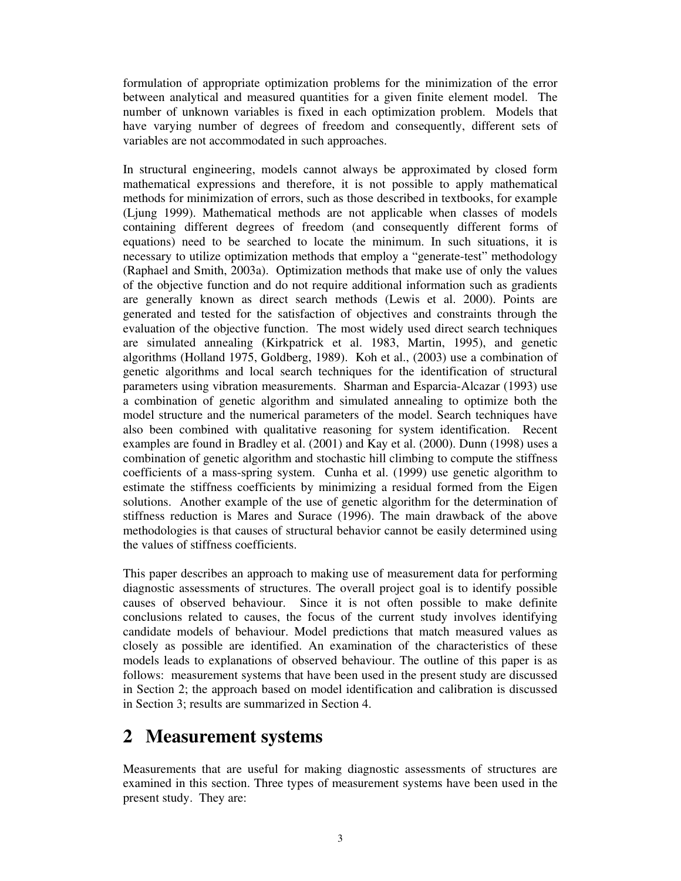formulation of appropriate optimization problems for the minimization of the error between analytical and measured quantities for a given finite element model. The number of unknown variables is fixed in each optimization problem. Models that have varying number of degrees of freedom and consequently, different sets of variables are not accommodated in such approaches.

In structural engineering, models cannot always be approximated by closed form mathematical expressions and therefore, it is not possible to apply mathematical methods for minimization of errors, such as those described in textbooks, for example (Ljung 1999). Mathematical methods are not applicable when classes of models containing different degrees of freedom (and consequently different forms of equations) need to be searched to locate the minimum. In such situations, it is necessary to utilize optimization methods that employ a "generate-test" methodology (Raphael and Smith, 2003a). Optimization methods that make use of only the values of the objective function and do not require additional information such as gradients are generally known as direct search methods (Lewis et al. 2000). Points are generated and tested for the satisfaction of objectives and constraints through the evaluation of the objective function. The most widely used direct search techniques are simulated annealing (Kirkpatrick et al. 1983, Martin, 1995), and genetic algorithms (Holland 1975, Goldberg, 1989). Koh et al., (2003) use a combination of genetic algorithms and local search techniques for the identification of structural parameters using vibration measurements. Sharman and Esparcia-Alcazar (1993) use a combination of genetic algorithm and simulated annealing to optimize both the model structure and the numerical parameters of the model. Search techniques have also been combined with qualitative reasoning for system identification. Recent examples are found in Bradley et al. (2001) and Kay et al. (2000). Dunn (1998) uses a combination of genetic algorithm and stochastic hill climbing to compute the stiffness coefficients of a mass-spring system. Cunha et al. (1999) use genetic algorithm to estimate the stiffness coefficients by minimizing a residual formed from the Eigen solutions. Another example of the use of genetic algorithm for the determination of stiffness reduction is Mares and Surace (1996). The main drawback of the above methodologies is that causes of structural behavior cannot be easily determined using the values of stiffness coefficients.

This paper describes an approach to making use of measurement data for performing diagnostic assessments of structures. The overall project goal is to identify possible causes of observed behaviour. Since it is not often possible to make definite conclusions related to causes, the focus of the current study involves identifying candidate models of behaviour. Model predictions that match measured values as closely as possible are identified. An examination of the characteristics of these models leads to explanations of observed behaviour. The outline of this paper is as follows: measurement systems that have been used in the present study are discussed in Section 2; the approach based on model identification and calibration is discussed in Section 3; results are summarized in Section 4.

# **2 Measurement systems**

Measurements that are useful for making diagnostic assessments of structures are examined in this section. Three types of measurement systems have been used in the present study. They are: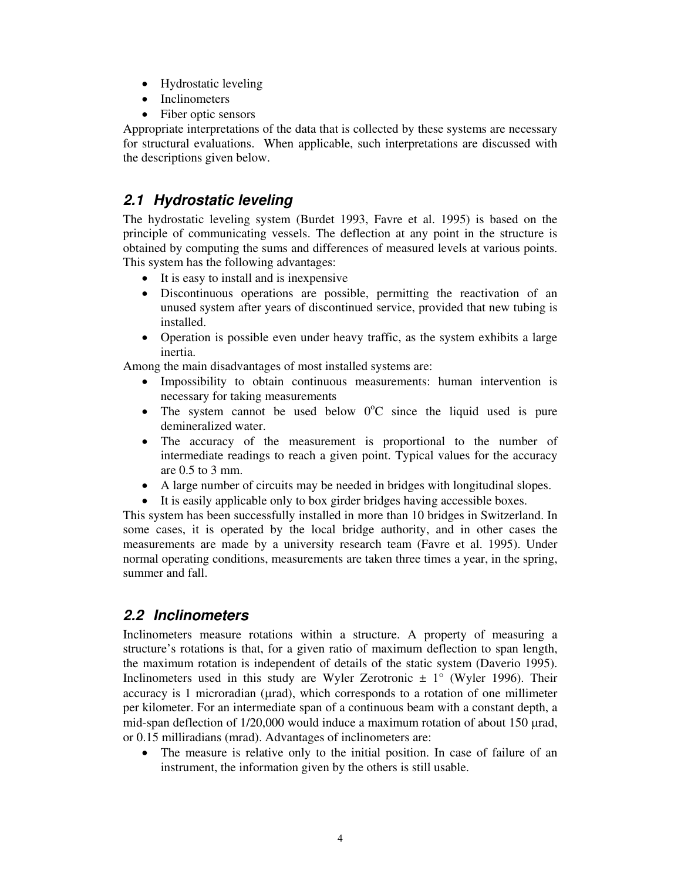- Hydrostatic leveling
- Inclinometers
- Fiber optic sensors

Appropriate interpretations of the data that is collected by these systems are necessary for structural evaluations. When applicable, such interpretations are discussed with the descriptions given below.

# **2.1 Hydrostatic leveling**

The hydrostatic leveling system (Burdet 1993, Favre et al. 1995) is based on the principle of communicating vessels. The deflection at any point in the structure is obtained by computing the sums and differences of measured levels at various points. This system has the following advantages:

- It is easy to install and is inexpensive
- Discontinuous operations are possible, permitting the reactivation of an unused system after years of discontinued service, provided that new tubing is installed.
- Operation is possible even under heavy traffic, as the system exhibits a large inertia.

Among the main disadvantages of most installed systems are:

- Impossibility to obtain continuous measurements: human intervention is necessary for taking measurements
- The system cannot be used below  $0^{\circ}$ C since the liquid used is pure demineralized water.
- The accuracy of the measurement is proportional to the number of intermediate readings to reach a given point. Typical values for the accuracy are 0.5 to 3 mm.
- A large number of circuits may be needed in bridges with longitudinal slopes.
- It is easily applicable only to box girder bridges having accessible boxes.

This system has been successfully installed in more than 10 bridges in Switzerland. In some cases, it is operated by the local bridge authority, and in other cases the measurements are made by a university research team (Favre et al. 1995). Under normal operating conditions, measurements are taken three times a year, in the spring, summer and fall.

# **2.2 Inclinometers**

Inclinometers measure rotations within a structure. A property of measuring a structure's rotations is that, for a given ratio of maximum deflection to span length, the maximum rotation is independent of details of the static system (Daverio 1995). Inclinometers used in this study are Wyler Zerotronic  $\pm 1^{\circ}$  (Wyler 1996). Their accuracy is 1 microradian ( $\mu$ rad), which corresponds to a rotation of one millimeter per kilometer. For an intermediate span of a continuous beam with a constant depth, a mid-span deflection of  $1/20,000$  would induce a maximum rotation of about 150 µrad, or 0.15 milliradians (mrad). Advantages of inclinometers are:

• The measure is relative only to the initial position. In case of failure of an instrument, the information given by the others is still usable.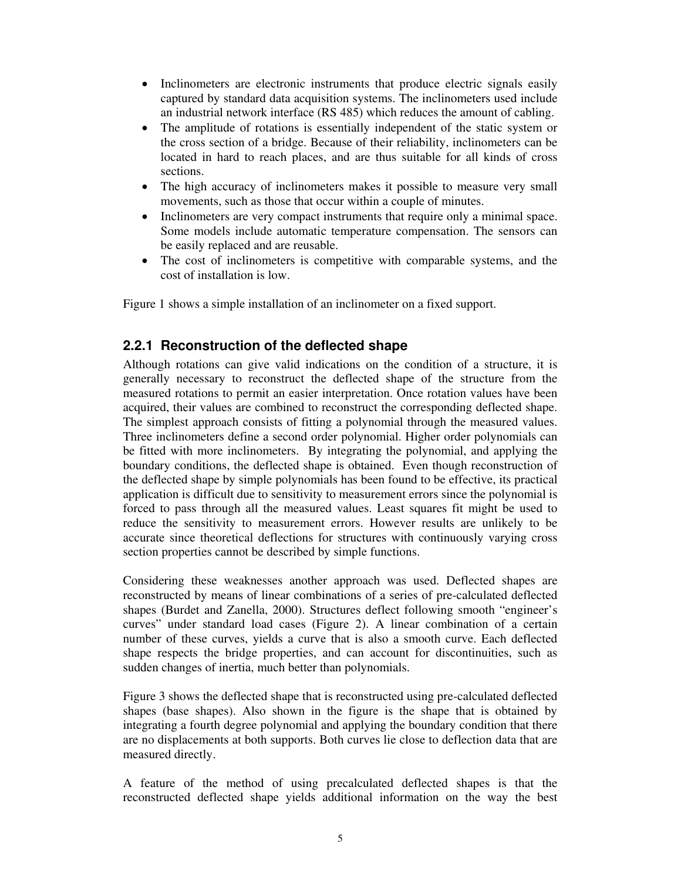- Inclinometers are electronic instruments that produce electric signals easily captured by standard data acquisition systems. The inclinometers used include an industrial network interface (RS 485) which reduces the amount of cabling.
- The amplitude of rotations is essentially independent of the static system or the cross section of a bridge. Because of their reliability, inclinometers can be located in hard to reach places, and are thus suitable for all kinds of cross sections.
- The high accuracy of inclinometers makes it possible to measure very small movements, such as those that occur within a couple of minutes.
- Inclinometers are very compact instruments that require only a minimal space. Some models include automatic temperature compensation. The sensors can be easily replaced and are reusable.
- The cost of inclinometers is competitive with comparable systems, and the cost of installation is low.

Figure 1 shows a simple installation of an inclinometer on a fixed support.

### **2.2.1 Reconstruction of the deflected shape**

Although rotations can give valid indications on the condition of a structure, it is generally necessary to reconstruct the deflected shape of the structure from the measured rotations to permit an easier interpretation. Once rotation values have been acquired, their values are combined to reconstruct the corresponding deflected shape. The simplest approach consists of fitting a polynomial through the measured values. Three inclinometers define a second order polynomial. Higher order polynomials can be fitted with more inclinometers. By integrating the polynomial, and applying the boundary conditions, the deflected shape is obtained. Even though reconstruction of the deflected shape by simple polynomials has been found to be effective, its practical application is difficult due to sensitivity to measurement errors since the polynomial is forced to pass through all the measured values. Least squares fit might be used to reduce the sensitivity to measurement errors. However results are unlikely to be accurate since theoretical deflections for structures with continuously varying cross section properties cannot be described by simple functions.

Considering these weaknesses another approach was used. Deflected shapes are reconstructed by means of linear combinations of a series of pre-calculated deflected shapes (Burdet and Zanella, 2000). Structures deflect following smooth "engineer's curves" under standard load cases (Figure 2). A linear combination of a certain number of these curves, yields a curve that is also a smooth curve. Each deflected shape respects the bridge properties, and can account for discontinuities, such as sudden changes of inertia, much better than polynomials.

Figure 3 shows the deflected shape that is reconstructed using pre-calculated deflected shapes (base shapes). Also shown in the figure is the shape that is obtained by integrating a fourth degree polynomial and applying the boundary condition that there are no displacements at both supports. Both curves lie close to deflection data that are measured directly.

A feature of the method of using precalculated deflected shapes is that the reconstructed deflected shape yields additional information on the way the best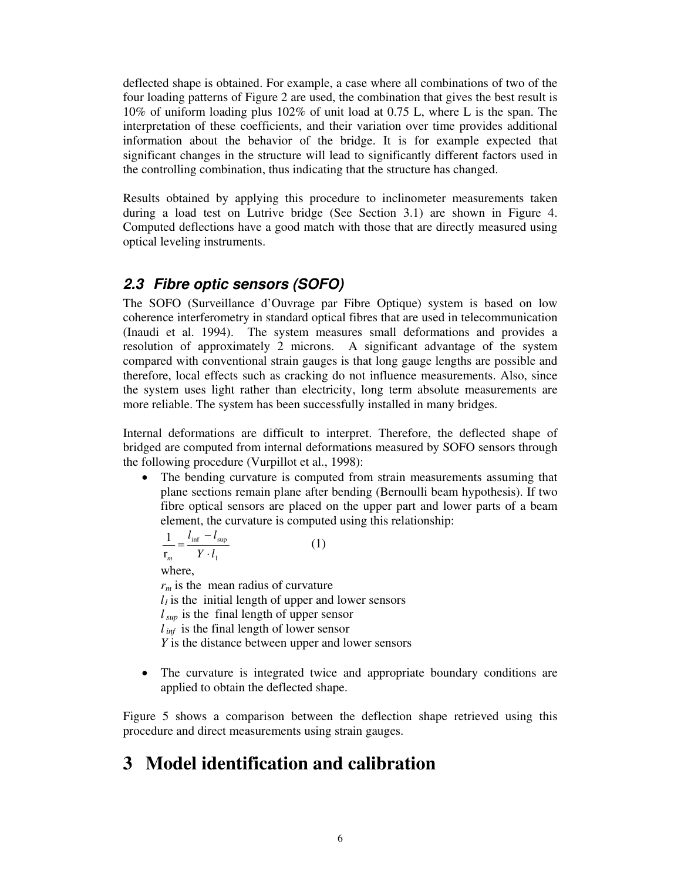deflected shape is obtained. For example, a case where all combinations of two of the four loading patterns of Figure 2 are used, the combination that gives the best result is 10% of uniform loading plus 102% of unit load at 0.75 L, where L is the span. The interpretation of these coefficients, and their variation over time provides additional information about the behavior of the bridge. It is for example expected that significant changes in the structure will lead to significantly different factors used in the controlling combination, thus indicating that the structure has changed.

Results obtained by applying this procedure to inclinometer measurements taken during a load test on Lutrive bridge (See Section 3.1) are shown in Figure 4. Computed deflections have a good match with those that are directly measured using optical leveling instruments.

## **2.3 Fibre optic sensors (SOFO)**

The SOFO (Surveillance d'Ouvrage par Fibre Optique) system is based on low coherence interferometry in standard optical fibres that are used in telecommunication (Inaudi et al. 1994). The system measures small deformations and provides a resolution of approximately 2 microns. A significant advantage of the system compared with conventional strain gauges is that long gauge lengths are possible and therefore, local effects such as cracking do not influence measurements. Also, since the system uses light rather than electricity, long term absolute measurements are more reliable. The system has been successfully installed in many bridges.

Internal deformations are difficult to interpret. Therefore, the deflected shape of bridged are computed from internal deformations measured by SOFO sensors through the following procedure (Vurpillot et al., 1998):

• The bending curvature is computed from strain measurements assuming that plane sections remain plane after bending (Bernoulli beam hypothesis). If two fibre optical sensors are placed on the upper part and lower parts of a beam element, the curvature is computed using this relationship:

$$
\frac{1}{\mathbf{r}_m} = \frac{l_{\text{inf}} - l_{\text{sup}}}{Y \cdot l_1} \tag{1}
$$

where,

 $r_m$  is the mean radius of curvature  $l_1$  is the initial length of upper and lower sensors *l sup* is the final length of upper sensor *l inf* is the final length of lower sensor *Y* is the distance between upper and lower sensors

The curvature is integrated twice and appropriate boundary conditions are applied to obtain the deflected shape.

Figure 5 shows a comparison between the deflection shape retrieved using this procedure and direct measurements using strain gauges.

# **3 Model identification and calibration**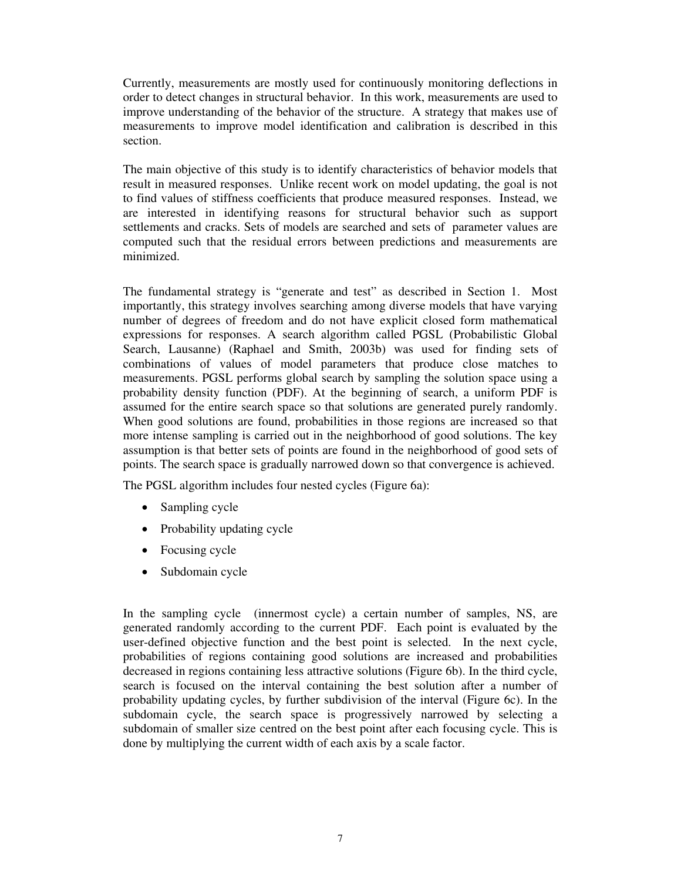Currently, measurements are mostly used for continuously monitoring deflections in order to detect changes in structural behavior. In this work, measurements are used to improve understanding of the behavior of the structure. A strategy that makes use of measurements to improve model identification and calibration is described in this section.

The main objective of this study is to identify characteristics of behavior models that result in measured responses. Unlike recent work on model updating, the goal is not to find values of stiffness coefficients that produce measured responses. Instead, we are interested in identifying reasons for structural behavior such as support settlements and cracks. Sets of models are searched and sets of parameter values are computed such that the residual errors between predictions and measurements are minimized.

The fundamental strategy is "generate and test" as described in Section 1. Most importantly, this strategy involves searching among diverse models that have varying number of degrees of freedom and do not have explicit closed form mathematical expressions for responses. A search algorithm called PGSL (Probabilistic Global Search, Lausanne) (Raphael and Smith, 2003b) was used for finding sets of combinations of values of model parameters that produce close matches to measurements. PGSL performs global search by sampling the solution space using a probability density function (PDF). At the beginning of search, a uniform PDF is assumed for the entire search space so that solutions are generated purely randomly. When good solutions are found, probabilities in those regions are increased so that more intense sampling is carried out in the neighborhood of good solutions. The key assumption is that better sets of points are found in the neighborhood of good sets of points. The search space is gradually narrowed down so that convergence is achieved.

The PGSL algorithm includes four nested cycles (Figure 6a):

- Sampling cycle
- Probability updating cycle
- Focusing cycle
- Subdomain cycle

In the sampling cycle (innermost cycle) a certain number of samples, NS, are generated randomly according to the current PDF. Each point is evaluated by the user-defined objective function and the best point is selected. In the next cycle, probabilities of regions containing good solutions are increased and probabilities decreased in regions containing less attractive solutions (Figure 6b). In the third cycle, search is focused on the interval containing the best solution after a number of probability updating cycles, by further subdivision of the interval (Figure 6c). In the subdomain cycle, the search space is progressively narrowed by selecting a subdomain of smaller size centred on the best point after each focusing cycle. This is done by multiplying the current width of each axis by a scale factor.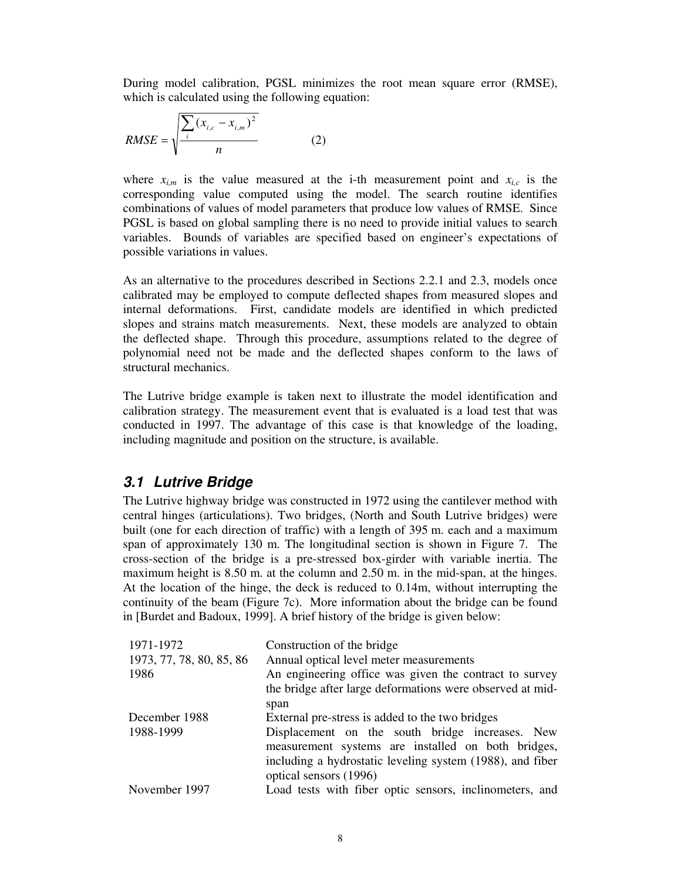During model calibration, PGSL minimizes the root mean square error (RMSE), which is calculated using the following equation:

RMSE = 
$$
\sqrt{\frac{\sum_{i} (x_{i,c} - x_{i,m})^2}{n}}
$$
 (2)

where  $x_{i,m}$  is the value measured at the i-th measurement point and  $x_{i,c}$  is the corresponding value computed using the model. The search routine identifies combinations of values of model parameters that produce low values of RMSE. Since PGSL is based on global sampling there is no need to provide initial values to search variables. Bounds of variables are specified based on engineer's expectations of possible variations in values.

As an alternative to the procedures described in Sections 2.2.1 and 2.3, models once calibrated may be employed to compute deflected shapes from measured slopes and internal deformations. First, candidate models are identified in which predicted slopes and strains match measurements. Next, these models are analyzed to obtain the deflected shape. Through this procedure, assumptions related to the degree of polynomial need not be made and the deflected shapes conform to the laws of structural mechanics.

The Lutrive bridge example is taken next to illustrate the model identification and calibration strategy. The measurement event that is evaluated is a load test that was conducted in 1997. The advantage of this case is that knowledge of the loading, including magnitude and position on the structure, is available.

### **3.1 Lutrive Bridge**

The Lutrive highway bridge was constructed in 1972 using the cantilever method with central hinges (articulations). Two bridges, (North and South Lutrive bridges) were built (one for each direction of traffic) with a length of 395 m. each and a maximum span of approximately 130 m. The longitudinal section is shown in Figure 7. The cross-section of the bridge is a pre-stressed box-girder with variable inertia. The maximum height is 8.50 m. at the column and 2.50 m. in the mid-span, at the hinges. At the location of the hinge, the deck is reduced to 0.14m, without interrupting the continuity of the beam (Figure 7c). More information about the bridge can be found in [Burdet and Badoux, 1999]. A brief history of the bridge is given below:

| 1971-1972<br>1973, 77, 78, 80, 85, 86<br>1986 | Construction of the bridge<br>Annual optical level meter measurements<br>An engineering office was given the contract to survey<br>the bridge after large deformations were observed at mid- |  |  |  |  |
|-----------------------------------------------|----------------------------------------------------------------------------------------------------------------------------------------------------------------------------------------------|--|--|--|--|
|                                               |                                                                                                                                                                                              |  |  |  |  |
|                                               | span                                                                                                                                                                                         |  |  |  |  |
| December 1988                                 | External pre-stress is added to the two bridges                                                                                                                                              |  |  |  |  |
| 1988-1999                                     | Displacement on the south bridge increases. New<br>measurement systems are installed on both bridges,<br>including a hydrostatic leveling system (1988), and fiber                           |  |  |  |  |
|                                               | optical sensors (1996)                                                                                                                                                                       |  |  |  |  |
| November 1997                                 | Load tests with fiber optic sensors, inclinometers, and                                                                                                                                      |  |  |  |  |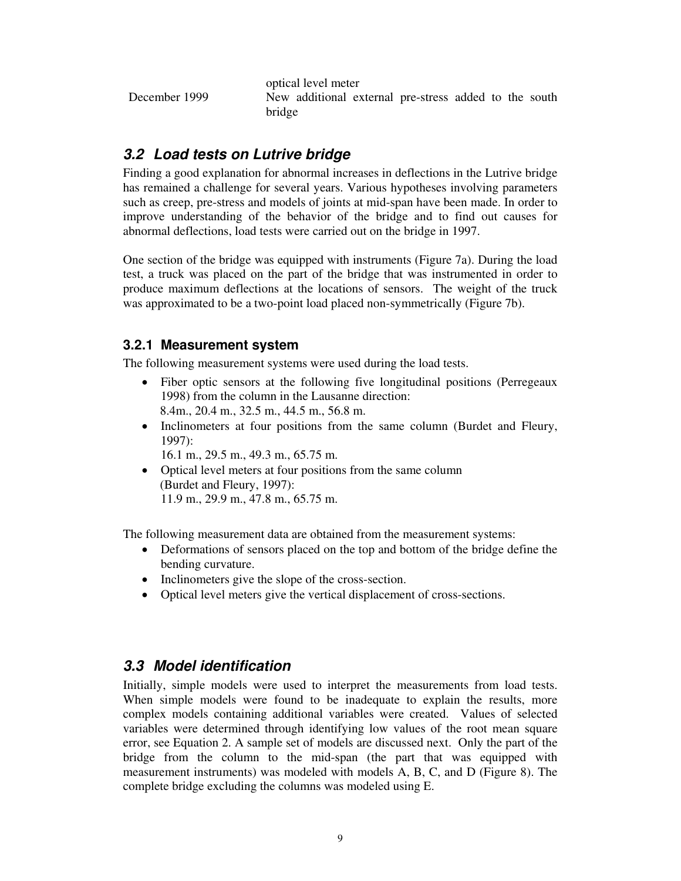optical level meter December 1999 New additional external pre-stress added to the south bridge

## **3.2 Load tests on Lutrive bridge**

Finding a good explanation for abnormal increases in deflections in the Lutrive bridge has remained a challenge for several years. Various hypotheses involving parameters such as creep, pre-stress and models of joints at mid-span have been made. In order to improve understanding of the behavior of the bridge and to find out causes for abnormal deflections, load tests were carried out on the bridge in 1997.

One section of the bridge was equipped with instruments (Figure 7a). During the load test, a truck was placed on the part of the bridge that was instrumented in order to produce maximum deflections at the locations of sensors. The weight of the truck was approximated to be a two-point load placed non-symmetrically (Figure 7b).

## **3.2.1 Measurement system**

The following measurement systems were used during the load tests.

- Fiber optic sensors at the following five longitudinal positions (Perregeaux 1998) from the column in the Lausanne direction: 8.4m., 20.4 m., 32.5 m., 44.5 m., 56.8 m.
- Inclinometers at four positions from the same column (Burdet and Fleury, 1997):

16.1 m., 29.5 m., 49.3 m., 65.75 m.

• Optical level meters at four positions from the same column (Burdet and Fleury, 1997): 11.9 m., 29.9 m., 47.8 m., 65.75 m.

The following measurement data are obtained from the measurement systems:

- Deformations of sensors placed on the top and bottom of the bridge define the bending curvature.
- Inclinometers give the slope of the cross-section.
- Optical level meters give the vertical displacement of cross-sections.

# **3.3 Model identification**

Initially, simple models were used to interpret the measurements from load tests. When simple models were found to be inadequate to explain the results, more complex models containing additional variables were created. Values of selected variables were determined through identifying low values of the root mean square error, see Equation 2. A sample set of models are discussed next. Only the part of the bridge from the column to the mid-span (the part that was equipped with measurement instruments) was modeled with models A, B, C, and D (Figure 8). The complete bridge excluding the columns was modeled using E.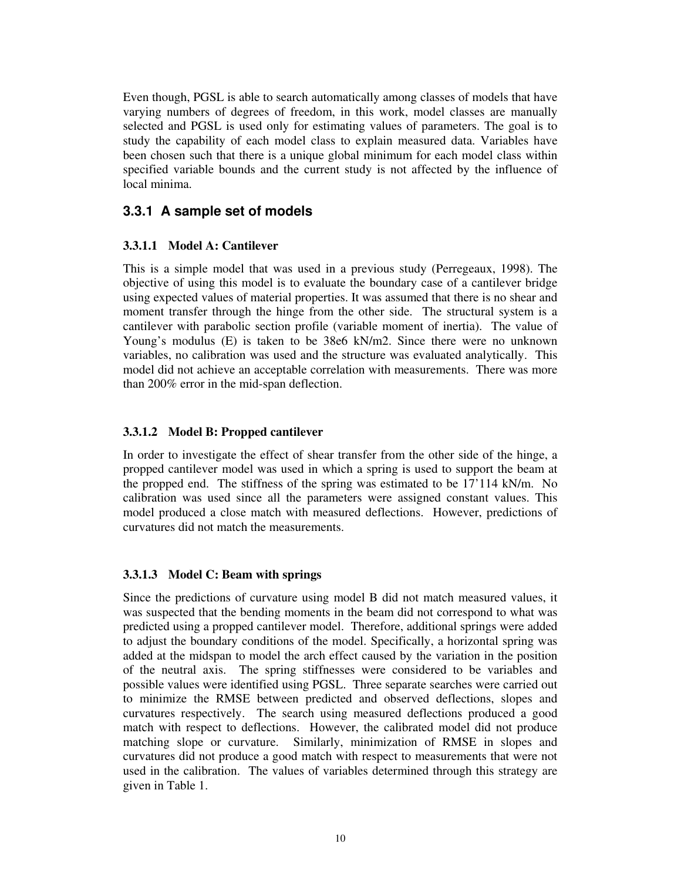Even though, PGSL is able to search automatically among classes of models that have varying numbers of degrees of freedom, in this work, model classes are manually selected and PGSL is used only for estimating values of parameters. The goal is to study the capability of each model class to explain measured data. Variables have been chosen such that there is a unique global minimum for each model class within specified variable bounds and the current study is not affected by the influence of local minima.

### **3.3.1 A sample set of models**

### **3.3.1.1 Model A: Cantilever**

This is a simple model that was used in a previous study (Perregeaux, 1998). The objective of using this model is to evaluate the boundary case of a cantilever bridge using expected values of material properties. It was assumed that there is no shear and moment transfer through the hinge from the other side. The structural system is a cantilever with parabolic section profile (variable moment of inertia). The value of Young's modulus (E) is taken to be 38e6 kN/m2. Since there were no unknown variables, no calibration was used and the structure was evaluated analytically. This model did not achieve an acceptable correlation with measurements. There was more than 200% error in the mid-span deflection.

#### **3.3.1.2 Model B: Propped cantilever**

In order to investigate the effect of shear transfer from the other side of the hinge, a propped cantilever model was used in which a spring is used to support the beam at the propped end. The stiffness of the spring was estimated to be 17'114 kN/m. No calibration was used since all the parameters were assigned constant values. This model produced a close match with measured deflections. However, predictions of curvatures did not match the measurements.

### **3.3.1.3 Model C: Beam with springs**

Since the predictions of curvature using model B did not match measured values, it was suspected that the bending moments in the beam did not correspond to what was predicted using a propped cantilever model. Therefore, additional springs were added to adjust the boundary conditions of the model. Specifically, a horizontal spring was added at the midspan to model the arch effect caused by the variation in the position of the neutral axis. The spring stiffnesses were considered to be variables and possible values were identified using PGSL. Three separate searches were carried out to minimize the RMSE between predicted and observed deflections, slopes and curvatures respectively. The search using measured deflections produced a good match with respect to deflections. However, the calibrated model did not produce matching slope or curvature. Similarly, minimization of RMSE in slopes and curvatures did not produce a good match with respect to measurements that were not used in the calibration. The values of variables determined through this strategy are given in Table 1.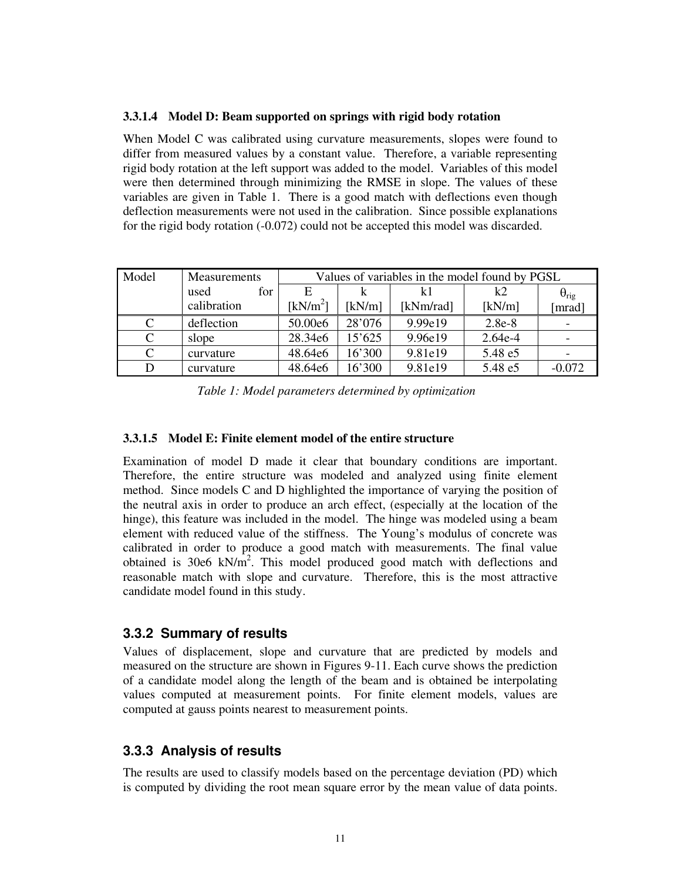#### **3.3.1.4 Model D: Beam supported on springs with rigid body rotation**

When Model C was calibrated using curvature measurements, slopes were found to differ from measured values by a constant value. Therefore, a variable representing rigid body rotation at the left support was added to the model. Variables of this model were then determined through minimizing the RMSE in slope. The values of these variables are given in Table 1. There is a good match with deflections even though deflection measurements were not used in the calibration. Since possible explanations for the rigid body rotation (-0.072) could not be accepted this model was discarded.

| Model | <b>Measurements</b> | Values of variables in the model found by PGSL |        |           |           |                       |
|-------|---------------------|------------------------------------------------|--------|-----------|-----------|-----------------------|
|       | for<br>used         | E                                              |        |           | k2        | $\theta_{\text{rig}}$ |
|       | calibration         | [kN/m <sup>2</sup> ]                           | [kN/m] | [kNm/rad] | [kN/m]    | mrad]                 |
| C     | deflection          | 50.00e6                                        | 28'076 | 9.99e19   | 2.8e-8    |                       |
| C     | slope               | 28.34e6                                        | 15'625 | 9.96e19   | $2.64e-4$ |                       |
| C     | curvature           | 48.64e6                                        | 16'300 | 9.81e19   | 5.48 e5   |                       |
|       | curvature           | 48.64e6                                        | 16'300 | 9.81e19   | 5.48 e5   | $-0.072$              |

*Table 1: Model parameters determined by optimization* 

#### **3.3.1.5 Model E: Finite element model of the entire structure**

Examination of model D made it clear that boundary conditions are important. Therefore, the entire structure was modeled and analyzed using finite element method. Since models C and D highlighted the importance of varying the position of the neutral axis in order to produce an arch effect, (especially at the location of the hinge), this feature was included in the model. The hinge was modeled using a beam element with reduced value of the stiffness. The Young's modulus of concrete was calibrated in order to produce a good match with measurements. The final value obtained is 30e6  $kN/m^2$ . This model produced good match with deflections and reasonable match with slope and curvature. Therefore, this is the most attractive candidate model found in this study.

### **3.3.2 Summary of results**

Values of displacement, slope and curvature that are predicted by models and measured on the structure are shown in Figures 9-11. Each curve shows the prediction of a candidate model along the length of the beam and is obtained be interpolating values computed at measurement points. For finite element models, values are computed at gauss points nearest to measurement points.

### **3.3.3 Analysis of results**

The results are used to classify models based on the percentage deviation (PD) which is computed by dividing the root mean square error by the mean value of data points.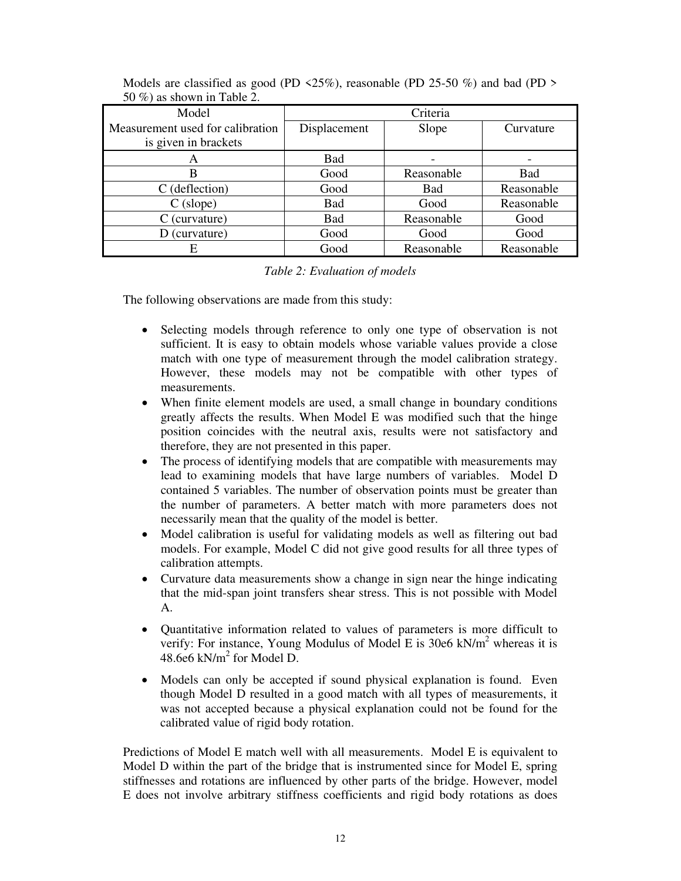| Model                            | Criteria              |            |            |  |  |
|----------------------------------|-----------------------|------------|------------|--|--|
| Measurement used for calibration | Displacement<br>Slope |            | Curvature  |  |  |
| is given in brackets             |                       |            |            |  |  |
| A                                | Bad                   |            |            |  |  |
| В                                | Good                  | Reasonable | <b>Bad</b> |  |  |
| C (deflection)                   | Good                  | <b>Bad</b> | Reasonable |  |  |
| $C$ (slope)                      | Bad                   | Good       | Reasonable |  |  |
| $C$ (curvature)                  | <b>Bad</b>            | Reasonable | Good       |  |  |
| D (curvature)                    | Good                  | Good       | Good       |  |  |
| Е                                | Good                  | Reasonable | Reasonable |  |  |

Models are classified as good (PD  $\langle 25\% \rangle$ , reasonable (PD 25-50 %) and bad (PD  $>$ 50 %) as shown in Table 2.

#### *Table 2: Evaluation of models*

The following observations are made from this study:

- Selecting models through reference to only one type of observation is not sufficient. It is easy to obtain models whose variable values provide a close match with one type of measurement through the model calibration strategy. However, these models may not be compatible with other types of measurements.
- When finite element models are used, a small change in boundary conditions greatly affects the results. When Model E was modified such that the hinge position coincides with the neutral axis, results were not satisfactory and therefore, they are not presented in this paper.
- The process of identifying models that are compatible with measurements may lead to examining models that have large numbers of variables. Model D contained 5 variables. The number of observation points must be greater than the number of parameters. A better match with more parameters does not necessarily mean that the quality of the model is better.
- Model calibration is useful for validating models as well as filtering out bad models. For example, Model C did not give good results for all three types of calibration attempts.
- Curvature data measurements show a change in sign near the hinge indicating that the mid-span joint transfers shear stress. This is not possible with Model A.
- Quantitative information related to values of parameters is more difficult to verify: For instance, Young Modulus of Model E is 30e6 kN/ $m^2$  whereas it is 48.6e6  $kN/m^2$  for Model D.
- Models can only be accepted if sound physical explanation is found. Even though Model D resulted in a good match with all types of measurements, it was not accepted because a physical explanation could not be found for the calibrated value of rigid body rotation.

Predictions of Model E match well with all measurements. Model E is equivalent to Model D within the part of the bridge that is instrumented since for Model E, spring stiffnesses and rotations are influenced by other parts of the bridge. However, model E does not involve arbitrary stiffness coefficients and rigid body rotations as does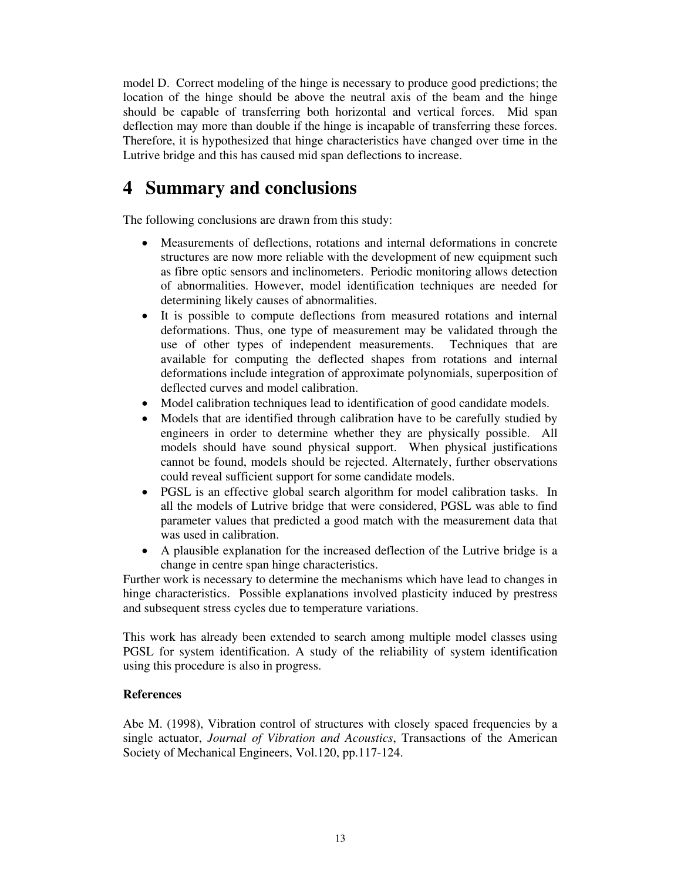model D. Correct modeling of the hinge is necessary to produce good predictions; the location of the hinge should be above the neutral axis of the beam and the hinge should be capable of transferring both horizontal and vertical forces. Mid span deflection may more than double if the hinge is incapable of transferring these forces. Therefore, it is hypothesized that hinge characteristics have changed over time in the Lutrive bridge and this has caused mid span deflections to increase.

# **4 Summary and conclusions**

The following conclusions are drawn from this study:

- Measurements of deflections, rotations and internal deformations in concrete structures are now more reliable with the development of new equipment such as fibre optic sensors and inclinometers. Periodic monitoring allows detection of abnormalities. However, model identification techniques are needed for determining likely causes of abnormalities.
- It is possible to compute deflections from measured rotations and internal deformations. Thus, one type of measurement may be validated through the use of other types of independent measurements. Techniques that are available for computing the deflected shapes from rotations and internal deformations include integration of approximate polynomials, superposition of deflected curves and model calibration.
- Model calibration techniques lead to identification of good candidate models.
- Models that are identified through calibration have to be carefully studied by engineers in order to determine whether they are physically possible. All models should have sound physical support. When physical justifications cannot be found, models should be rejected. Alternately, further observations could reveal sufficient support for some candidate models.
- PGSL is an effective global search algorithm for model calibration tasks. In all the models of Lutrive bridge that were considered, PGSL was able to find parameter values that predicted a good match with the measurement data that was used in calibration.
- A plausible explanation for the increased deflection of the Lutrive bridge is a change in centre span hinge characteristics.

Further work is necessary to determine the mechanisms which have lead to changes in hinge characteristics. Possible explanations involved plasticity induced by prestress and subsequent stress cycles due to temperature variations.

This work has already been extended to search among multiple model classes using PGSL for system identification. A study of the reliability of system identification using this procedure is also in progress.

### **References**

Abe M. (1998), Vibration control of structures with closely spaced frequencies by a single actuator, *Journal of Vibration and Acoustics*, Transactions of the American Society of Mechanical Engineers, Vol.120, pp.117-124.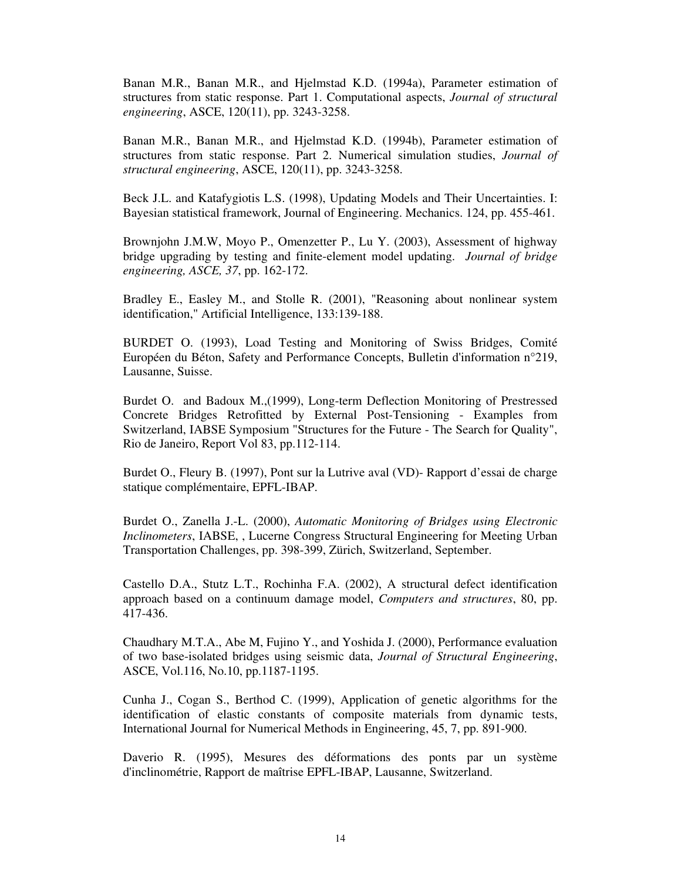Banan M.R., Banan M.R., and Hjelmstad K.D. (1994a), Parameter estimation of structures from static response. Part 1. Computational aspects, *Journal of structural engineering*, ASCE, 120(11), pp. 3243-3258.

Banan M.R., Banan M.R., and Hjelmstad K.D. (1994b), Parameter estimation of structures from static response. Part 2. Numerical simulation studies, *Journal of structural engineering*, ASCE, 120(11), pp. 3243-3258.

Beck J.L. and Katafygiotis L.S. (1998), Updating Models and Their Uncertainties. I: Bayesian statistical framework, Journal of Engineering. Mechanics. 124, pp. 455-461.

Brownjohn J.M.W, Moyo P., Omenzetter P., Lu Y. (2003), Assessment of highway bridge upgrading by testing and finite-element model updating. *Journal of bridge engineering, ASCE, 37*, pp. 162-172.

Bradley E., Easley M., and Stolle R. (2001), "Reasoning about nonlinear system identification," Artificial Intelligence, 133:139-188.

BURDET O. (1993), Load Testing and Monitoring of Swiss Bridges, Comité Européen du Béton, Safety and Performance Concepts, Bulletin d'information n°219, Lausanne, Suisse.

Burdet O. and Badoux M.,(1999), Long-term Deflection Monitoring of Prestressed Concrete Bridges Retrofitted by External Post-Tensioning - Examples from Switzerland, IABSE Symposium "Structures for the Future - The Search for Quality", Rio de Janeiro, Report Vol 83, pp.112-114.

Burdet O., Fleury B. (1997), Pont sur la Lutrive aval (VD)- Rapport d'essai de charge statique complémentaire, EPFL-IBAP.

Burdet O., Zanella J.-L. (2000), *Automatic Monitoring of Bridges using Electronic Inclinometers*, IABSE, , Lucerne Congress Structural Engineering for Meeting Urban Transportation Challenges, pp. 398-399, Zürich, Switzerland, September.

Castello D.A., Stutz L.T., Rochinha F.A. (2002), A structural defect identification approach based on a continuum damage model, *Computers and structures*, 80, pp. 417-436.

Chaudhary M.T.A., Abe M, Fujino Y., and Yoshida J. (2000), Performance evaluation of two base-isolated bridges using seismic data, *Journal of Structural Engineering*, ASCE, Vol.116, No.10, pp.1187-1195.

Cunha J., Cogan S., Berthod C. (1999), Application of genetic algorithms for the identification of elastic constants of composite materials from dynamic tests, International Journal for Numerical Methods in Engineering, 45, 7, pp. 891-900.

Daverio R. (1995), Mesures des déformations des ponts par un système d'inclinométrie, Rapport de maîtrise EPFL-IBAP, Lausanne, Switzerland.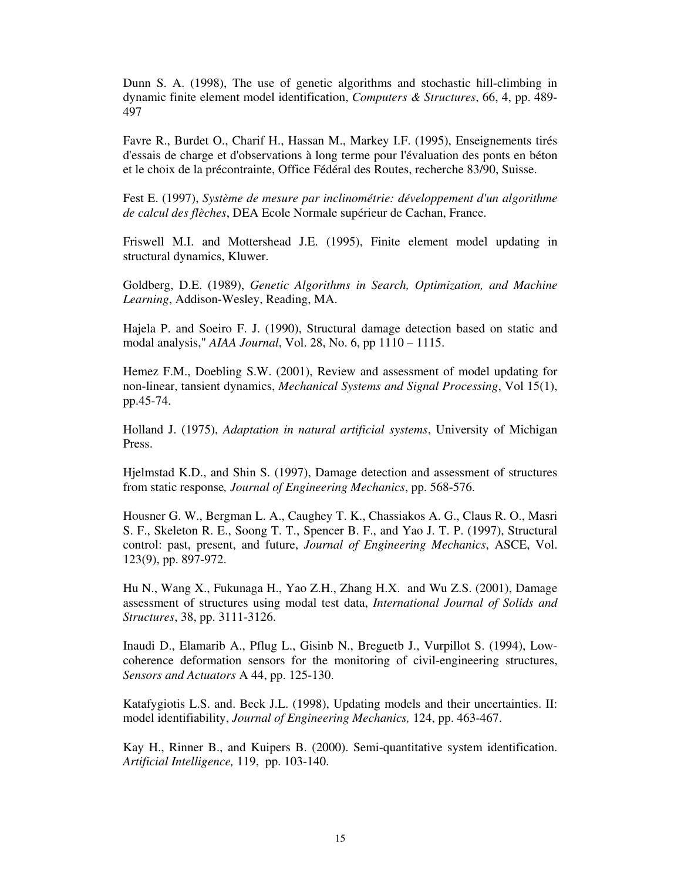Dunn S. A. (1998), The use of genetic algorithms and stochastic hill-climbing in dynamic finite element model identification, *Computers & Structures*, 66, 4, pp. 489- 497

Favre R., Burdet O., Charif H., Hassan M., Markey I.F. (1995), Enseignements tirés d'essais de charge et d'observations à long terme pour l'évaluation des ponts en béton et le choix de la précontrainte, Office Fédéral des Routes, recherche 83/90, Suisse.

Fest E. (1997), *Système de mesure par inclinométrie: développement d'un algorithme de calcul des flèches*, DEA Ecole Normale supérieur de Cachan, France.

Friswell M.I. and Mottershead J.E. (1995), Finite element model updating in structural dynamics, Kluwer.

Goldberg, D.E. (1989), *Genetic Algorithms in Search, Optimization, and Machine Learning*, Addison-Wesley, Reading, MA.

Hajela P. and Soeiro F. J. (1990), Structural damage detection based on static and modal analysis," *AIAA Journal*, Vol. 28, No. 6, pp 1110 – 1115.

Hemez F.M., Doebling S.W. (2001), Review and assessment of model updating for non-linear, tansient dynamics, *Mechanical Systems and Signal Processing*, Vol 15(1), pp.45-74.

Holland J. (1975), *Adaptation in natural artificial systems*, University of Michigan Press.

Hjelmstad K.D., and Shin S. (1997), Damage detection and assessment of structures from static response*, Journal of Engineering Mechanics*, pp. 568-576.

Housner G. W., Bergman L. A., Caughey T. K., Chassiakos A. G., Claus R. O., Masri S. F., Skeleton R. E., Soong T. T., Spencer B. F., and Yao J. T. P. (1997), Structural control: past, present, and future, *Journal of Engineering Mechanics*, ASCE, Vol. 123(9), pp. 897-972.

Hu N., Wang X., Fukunaga H., Yao Z.H., Zhang H.X. and Wu Z.S. (2001), Damage assessment of structures using modal test data, *International Journal of Solids and Structures*, 38, pp. 3111-3126.

Inaudi D., Elamarib A., Pflug L., Gisinb N., Breguetb J., Vurpillot S. (1994), Lowcoherence deformation sensors for the monitoring of civil-engineering structures, *Sensors and Actuators* A 44, pp. 125-130.

Katafygiotis L.S. and. Beck J.L. (1998), Updating models and their uncertainties. II: model identifiability, *Journal of Engineering Mechanics,* 124, pp. 463-467.

Kay H., Rinner B., and Kuipers B. (2000). Semi-quantitative system identification. *Artificial Intelligence,* 119, pp. 103-140.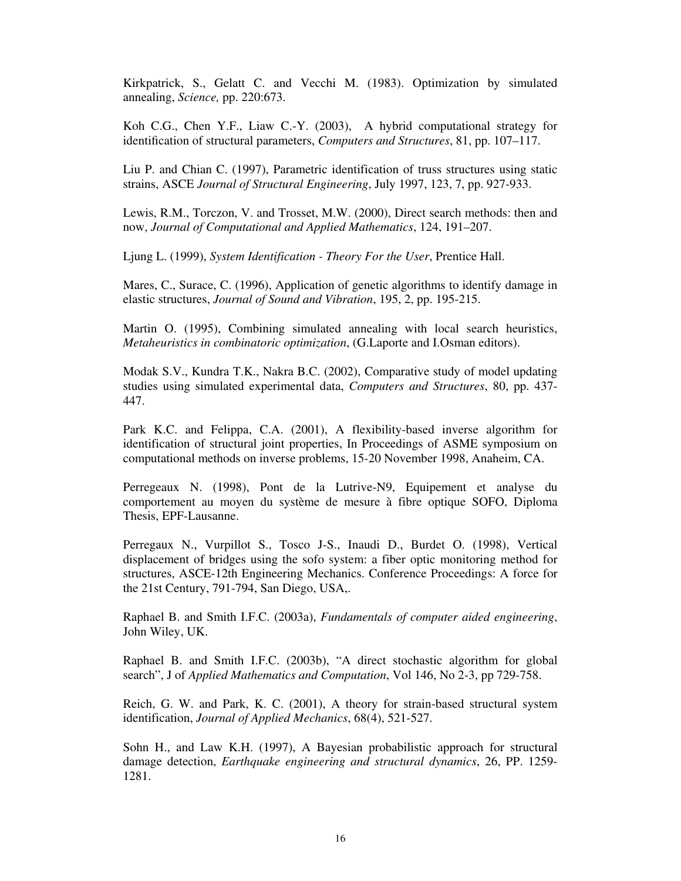Kirkpatrick, S., Gelatt C. and Vecchi M. (1983). Optimization by simulated annealing, *Science,* pp. 220:673.

Koh C.G., Chen Y.F., Liaw C.-Y. (2003), A hybrid computational strategy for identification of structural parameters, *Computers and Structures*, 81, pp. 107–117.

Liu P. and Chian C. (1997), Parametric identification of truss structures using static strains, ASCE *Journal of Structural Engineering*, July 1997, 123, 7, pp. 927-933.

Lewis, R.M., Torczon, V. and Trosset, M.W. (2000), Direct search methods: then and now, *Journal of Computational and Applied Mathematics*, 124, 191–207.

Ljung L. (1999), *System Identification - Theory For the User*, Prentice Hall.

Mares, C., Surace, C. (1996), Application of genetic algorithms to identify damage in elastic structures, *Journal of Sound and Vibration*, 195, 2, pp. 195-215.

Martin O. (1995), Combining simulated annealing with local search heuristics, *Metaheuristics in combinatoric optimization*, (G.Laporte and I.Osman editors).

Modak S.V., Kundra T.K., Nakra B.C. (2002), Comparative study of model updating studies using simulated experimental data, *Computers and Structures*, 80, pp. 437- 447.

Park K.C. and Felippa, C.A. (2001), A flexibility-based inverse algorithm for identification of structural joint properties, In Proceedings of ASME symposium on computational methods on inverse problems, 15-20 November 1998, Anaheim, CA.

Perregeaux N. (1998), Pont de la Lutrive-N9, Equipement et analyse du comportement au moyen du système de mesure à fibre optique SOFO, Diploma Thesis, EPF-Lausanne.

Perregaux N., Vurpillot S., Tosco J-S., Inaudi D., Burdet O. (1998), Vertical displacement of bridges using the sofo system: a fiber optic monitoring method for structures, ASCE-12th Engineering Mechanics. Conference Proceedings: A force for the 21st Century, 791-794, San Diego, USA,.

Raphael B. and Smith I.F.C. (2003a), *Fundamentals of computer aided engineering*, John Wiley, UK.

Raphael B. and Smith I.F.C. (2003b), "A direct stochastic algorithm for global search", J of *Applied Mathematics and Computation*, Vol 146, No 2-3, pp 729-758.

Reich, G. W. and Park, K. C. (2001), A theory for strain-based structural system identification, *Journal of Applied Mechanics*, 68(4), 521-527.

Sohn H., and Law K.H. (1997), A Bayesian probabilistic approach for structural damage detection, *Earthquake engineering and structural dynamics*, 26, PP. 1259- 1281.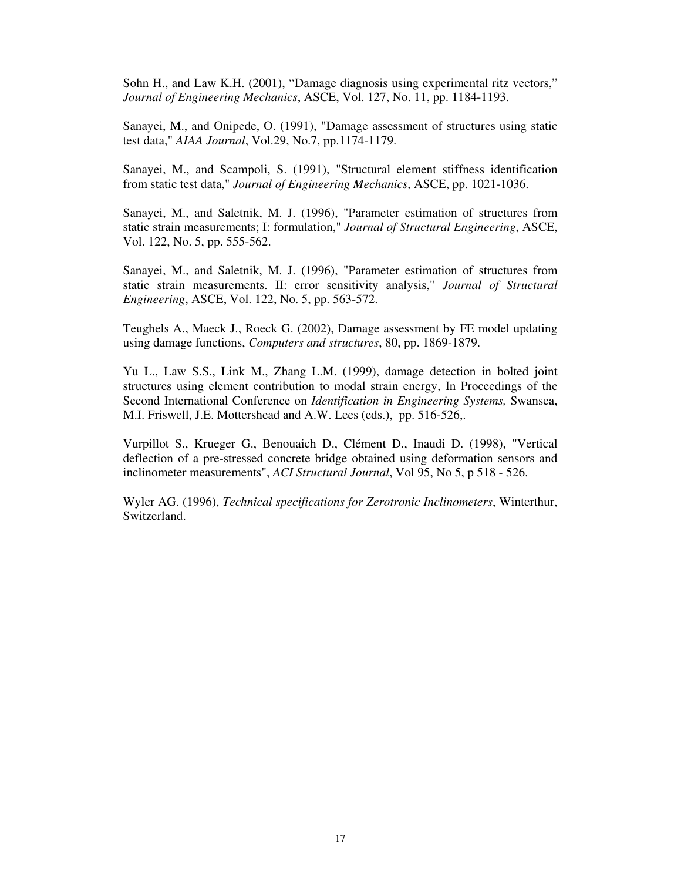Sohn H., and Law K.H. (2001), "Damage diagnosis using experimental ritz vectors," *Journal of Engineering Mechanics*, ASCE, Vol. 127, No. 11, pp. 1184-1193.

Sanayei, M., and Onipede, O. (1991), "Damage assessment of structures using static test data," *AIAA Journal*, Vol.29, No.7, pp.1174-1179.

Sanayei, M., and Scampoli, S. (1991), "Structural element stiffness identification from static test data," *Journal of Engineering Mechanics*, ASCE, pp. 1021-1036.

Sanayei, M., and Saletnik, M. J. (1996), "Parameter estimation of structures from static strain measurements; I: formulation," *Journal of Structural Engineering*, ASCE, Vol. 122, No. 5, pp. 555-562.

Sanayei, M., and Saletnik, M. J. (1996), "Parameter estimation of structures from static strain measurements. II: error sensitivity analysis," *Journal of Structural Engineering*, ASCE, Vol. 122, No. 5, pp. 563-572.

Teughels A., Maeck J., Roeck G. (2002), Damage assessment by FE model updating using damage functions, *Computers and structures*, 80, pp. 1869-1879.

Yu L., Law S.S., Link M., Zhang L.M. (1999), damage detection in bolted joint structures using element contribution to modal strain energy, In Proceedings of the Second International Conference on *Identification in Engineering Systems,* Swansea, M.I. Friswell, J.E. Mottershead and A.W. Lees (eds.), pp. 516-526,.

Vurpillot S., Krueger G., Benouaich D., Clément D., Inaudi D. (1998), "Vertical deflection of a pre-stressed concrete bridge obtained using deformation sensors and inclinometer measurements", *ACI Structural Journal*, Vol 95, No 5, p 518 - 526.

Wyler AG. (1996), *Technical specifications for Zerotronic Inclinometers*, Winterthur, Switzerland.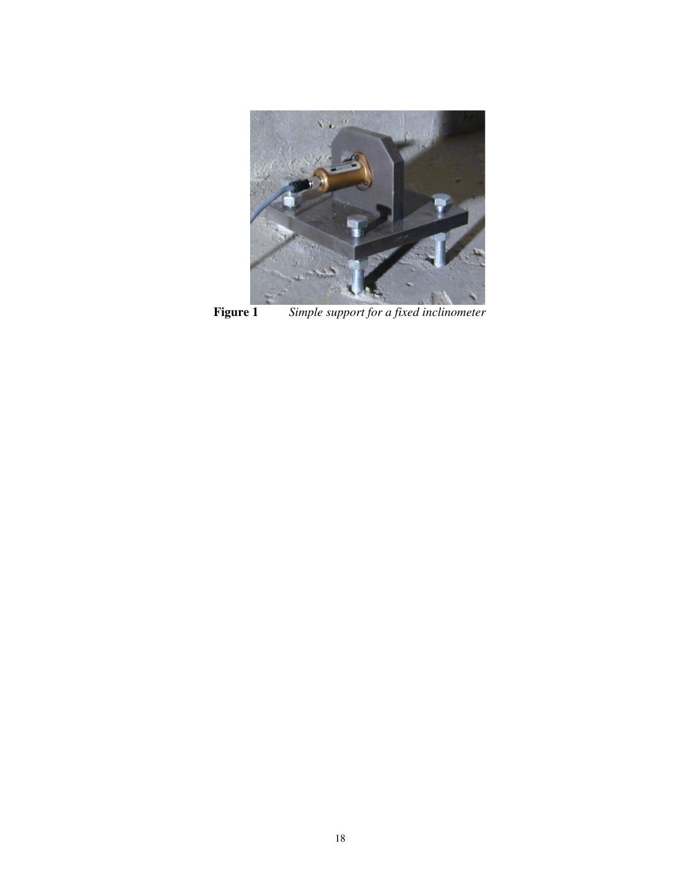

**Figure 1** *Simple support for a fixed inclinometer*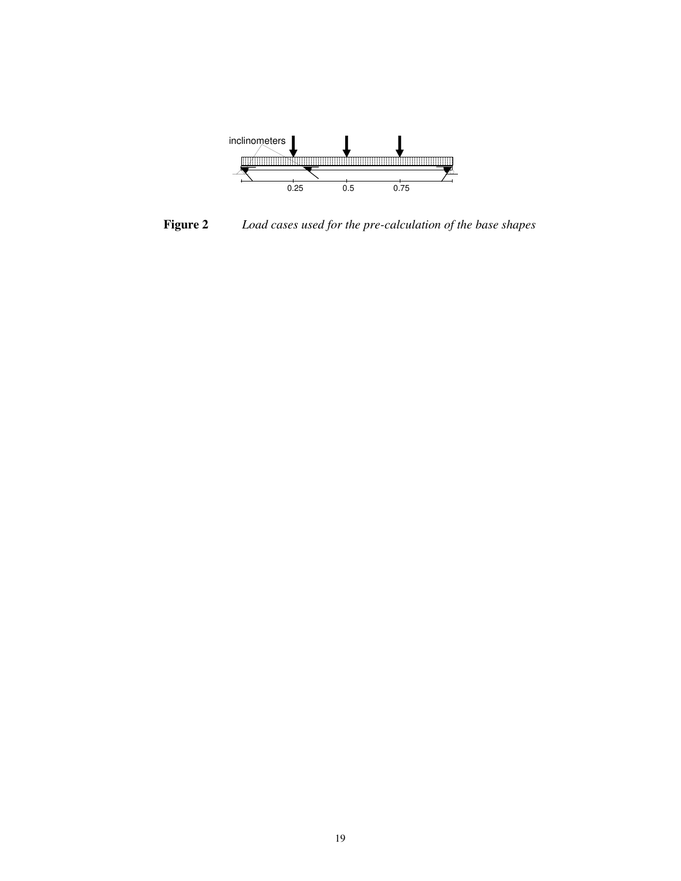

**Figure 2** *Load cases used for the pre-calculation of the base shapes*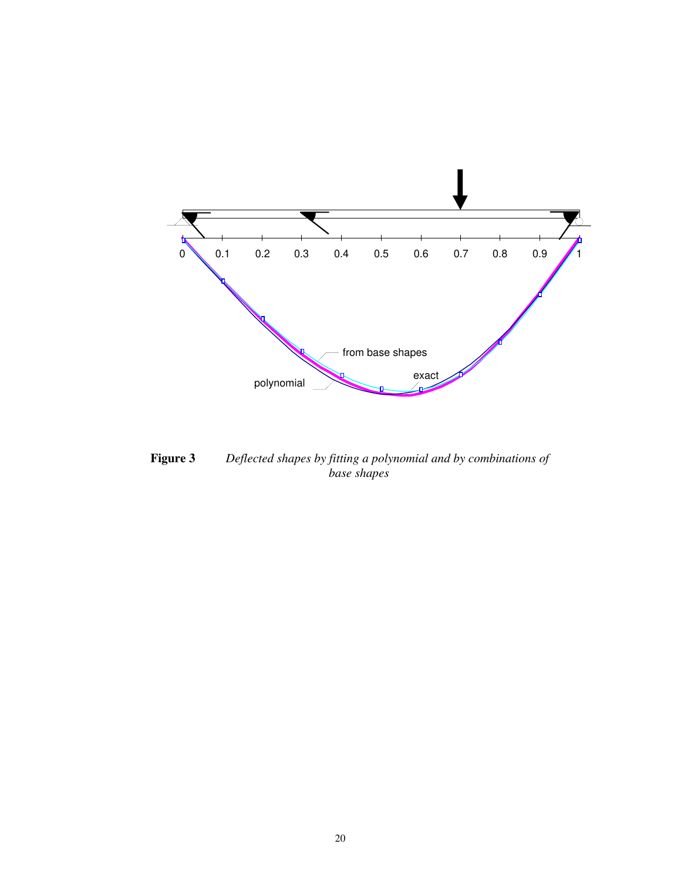

**Figure 3** *Deflected shapes by fitting a polynomial and by combinations of base shapes*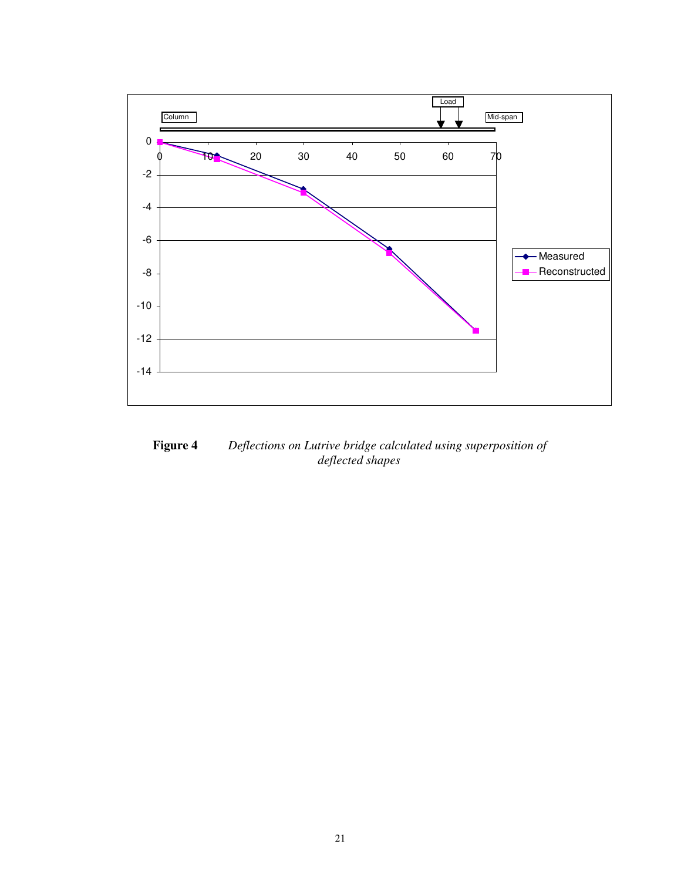

**Figure 4** *Deflections on Lutrive bridge calculated using superposition of deflected shapes*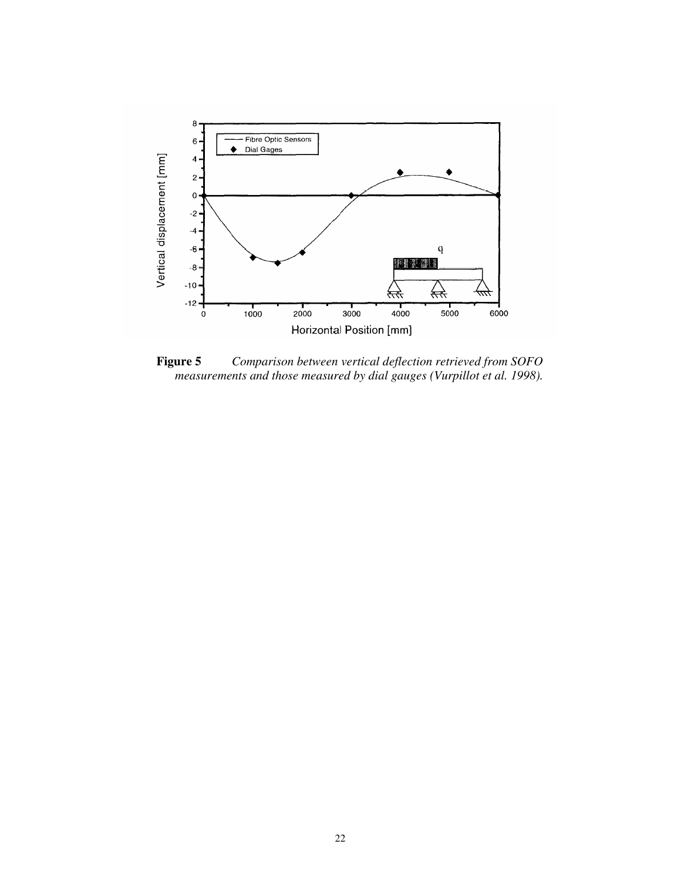

**Figure 5** *Comparison between vertical deflection retrieved from SOFO measurements and those measured by dial gauges (Vurpillot et al. 1998).*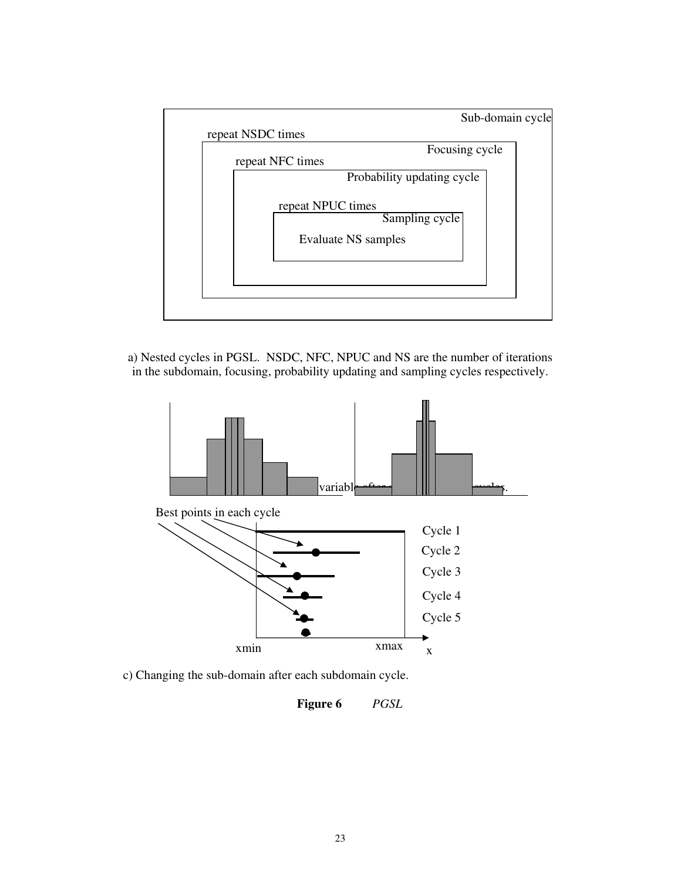

a) Nested cycles in PGSL. NSDC, NFC, NPUC and NS are the number of iterations in the subdomain, focusing, probability updating and sampling cycles respectively.





c) Changing the sub-domain after each subdomain cycle.

**Figure 6** *PGSL*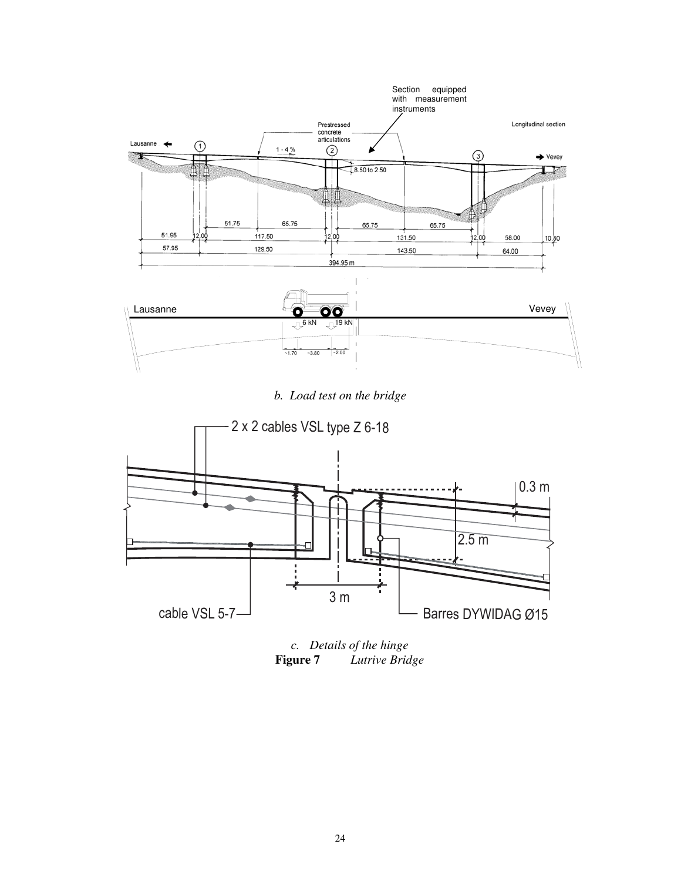

*b. Load test on the bridge* 



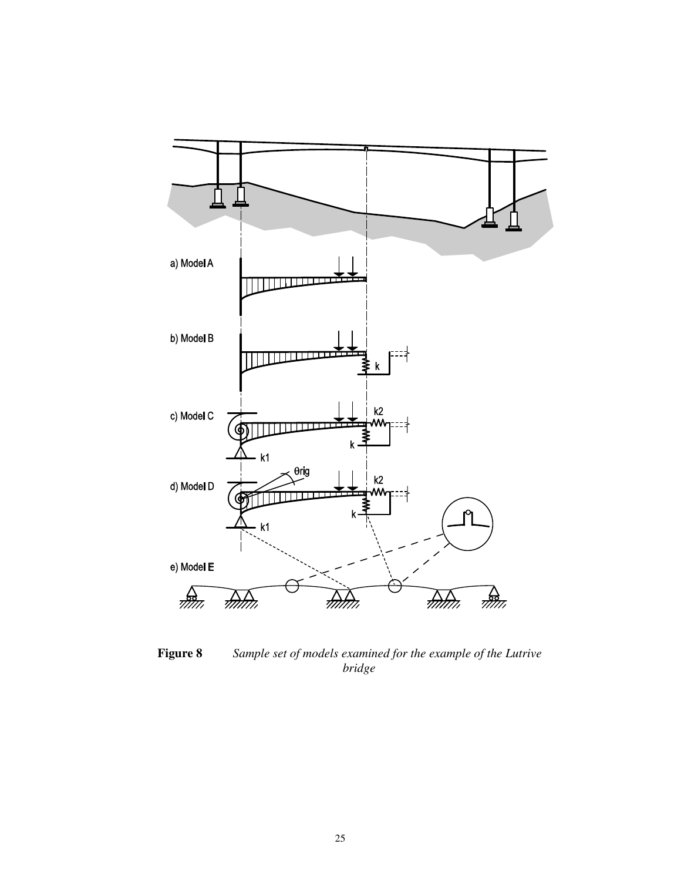

**Figure 8** *Sample set of models examined for the example of the Lutrive bridge*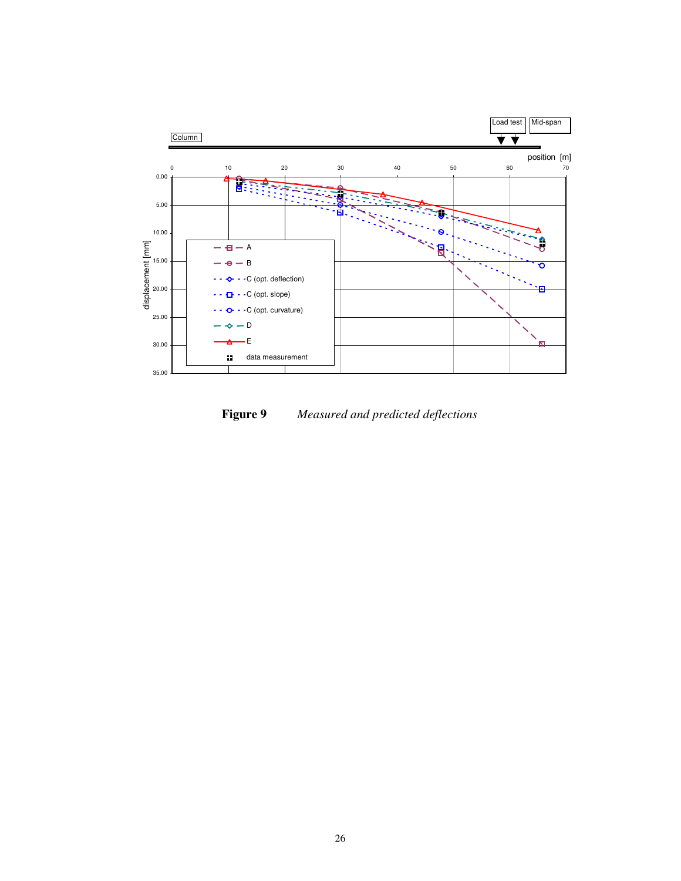

**Figure 9** *Measured and predicted deflections*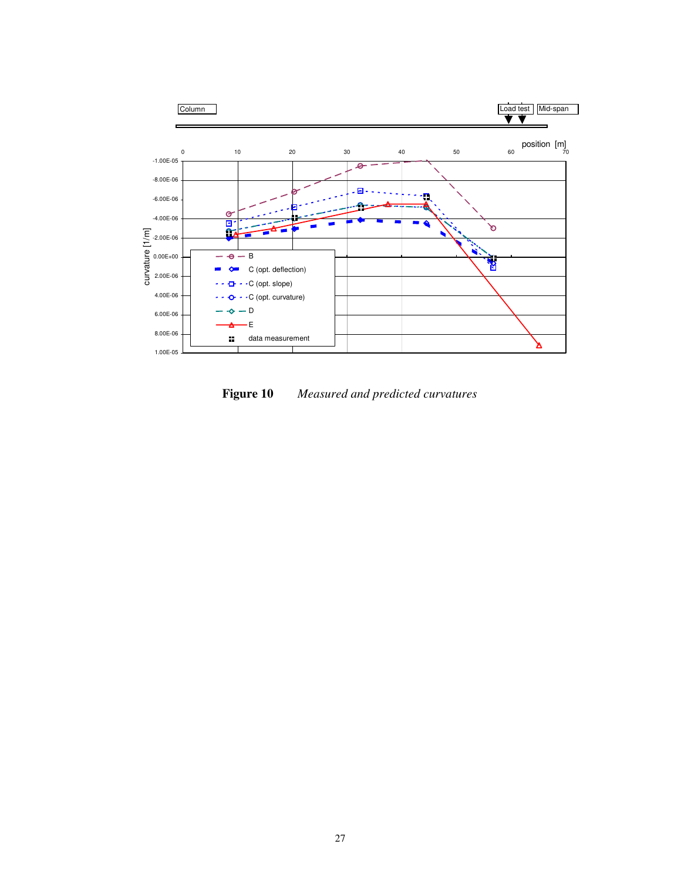

**Figure 10** *Measured and predicted curvatures*